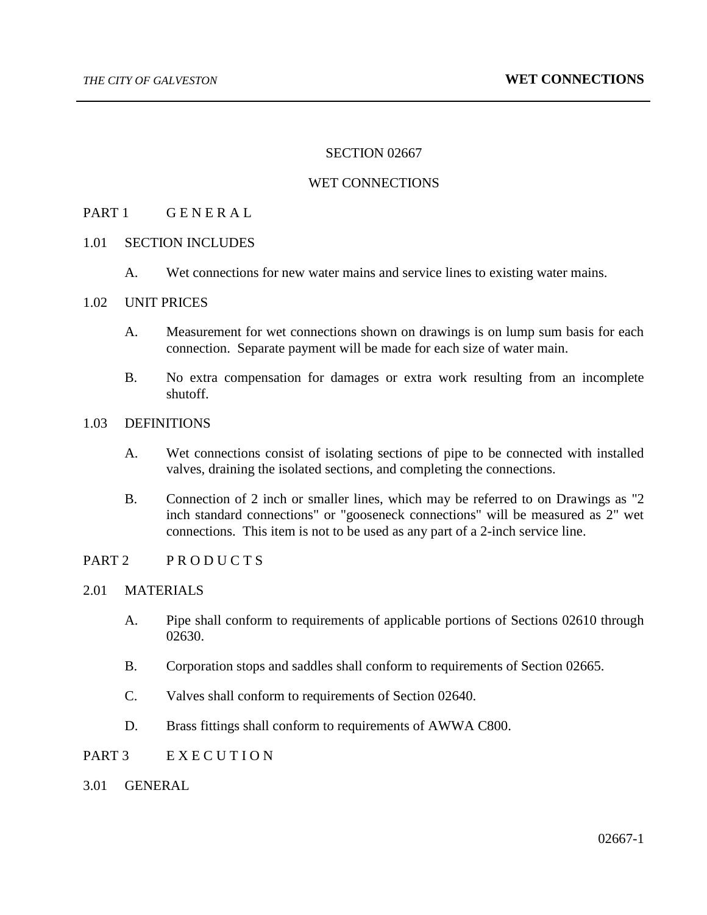## SECTION 02667

### WET CONNECTIONS

## PART 1 GENERAL

#### 1.01 SECTION INCLUDES

A. Wet connections for new water mains and service lines to existing water mains.

#### 1.02 UNIT PRICES

- A. Measurement for wet connections shown on drawings is on lump sum basis for each connection. Separate payment will be made for each size of water main.
- B. No extra compensation for damages or extra work resulting from an incomplete shutoff.

### 1.03 DEFINITIONS

- A. Wet connections consist of isolating sections of pipe to be connected with installed valves, draining the isolated sections, and completing the connections.
- B. Connection of 2 inch or smaller lines, which may be referred to on Drawings as "2 inch standard connections" or "gooseneck connections" will be measured as 2" wet connections. This item is not to be used as any part of a 2-inch service line.

# PART 2 PRODUCTS

## 2.01 MATERIALS

- A. Pipe shall conform to requirements of applicable portions of Sections 02610 through 02630.
- B. Corporation stops and saddles shall conform to requirements of Section 02665.
- C. Valves shall conform to requirements of Section 02640.
- D. Brass fittings shall conform to requirements of AWWA C800.
- PART 3 E X E C U T I O N
- 3.01 GENERAL